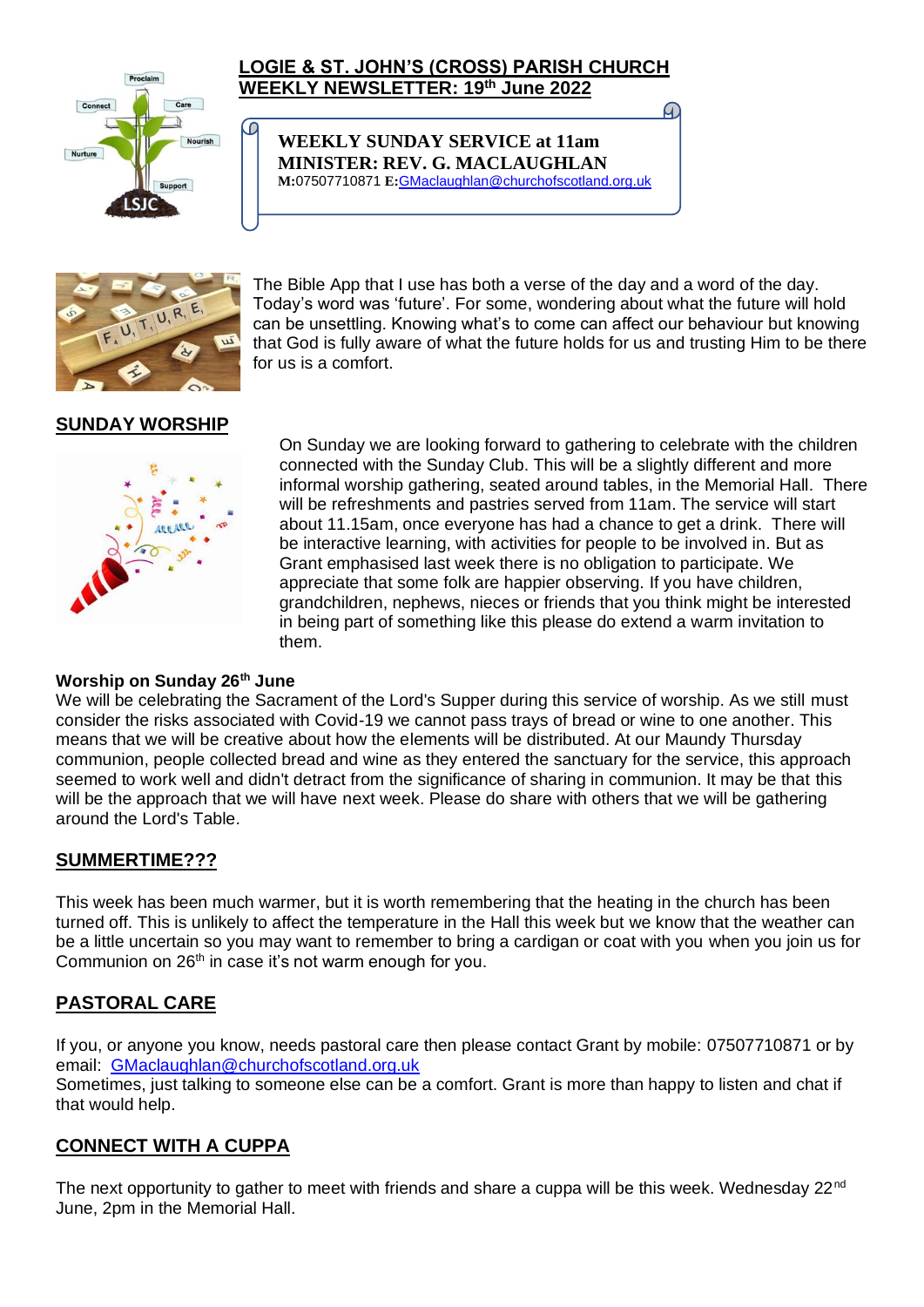

ſО

## **LOGIE & ST. JOHN'S (CROSS) PARISH CHURCH WEEKLY NEWSLETTER: 19 th June 2022**

**WEEKLY SUNDAY SERVICE at 11am MINISTER: REV. G. MACLAUGHLAN M:**07507710871 **E:**[GMaclaughlan@churchofscotland.org.uk](mailto:GMaclaughlan@churchofscotland.org.uk)



The Bible App that I use has both a verse of the day and a word of the day. Today's word was 'future'. For some, wondering about what the future will hold can be unsettling. Knowing what's to come can affect our behaviour but knowing that God is fully aware of what the future holds for us and trusting Him to be there for us is a comfort.

G.

# **[SUNDA](https://creativecommons.org/licenses/by-sa/3.0/)Y WORS[HIP](https://creativecommons.org/licenses/by-sa/3.0/)**



On Sunday we are looking forward to gathering to celebrate with the children connected with the Sunday Club. This will be a slightly different and more informal worship gathering, seated around tables, in the Memorial Hall. There will be refreshments and pastries served from 11am. The service will start about 11.15am, once everyone has had a chance to get a drink. There will be interactive learning, with activities for people to be involved in. But as Grant emphasised last week there is no obligation to participate. We appreciate that some folk are happier observing. If you have children, grandchildren, nephews, nieces or friends that you think might be interested in being part of something like this please do extend a warm invitation to them.

#### **[Worshi](https://creativecommons.org/licenses/by-nc/3.0/)p on Sunday 26th June**

We will be celebrating the Sacrament of the Lord's Supper during this service of worship. As we still must consider the risks associated with Covid-19 we cannot pass trays of bread or wine to one another. This means that we will be creative about how the elements will be distributed. At our Maundy Thursday communion, people collected bread and wine as they entered the sanctuary for the service, this approach seemed to work well and didn't detract from the significance of sharing in communion. It may be that this will be the approach that we will have next week. Please do share with others that we will be gathering around the Lord's Table.

#### **SUMMERTIME???**

This week has been much warmer, but it is worth remembering that the heating in the church has been turned off. This is unlikely to affect the temperature in the Hall this week but we know that the weather can be a little uncertain so you may want to remember to bring a cardigan or coat with you when you join us for Communion on 26<sup>th</sup> in case it's not warm enough for you.

# **PASTORAL CARE**

If you, or anyone you know, needs pastoral care then please contact Grant by mobile: 07507710871 or by email: [GMaclaughlan@churchofscotland.org.uk](mailto:GMaclaughlan@churchofscotland.org.uk) Sometimes, just talking to someone else can be a comfort. Grant is more than happy to listen and chat if that would help.

#### **CONNECT WITH A CUPPA**

The next opportunity to gather to meet with friends and share a cuppa will be this week. Wednesday  $22<sup>nd</sup>$ June, 2pm in the Memorial Hall.